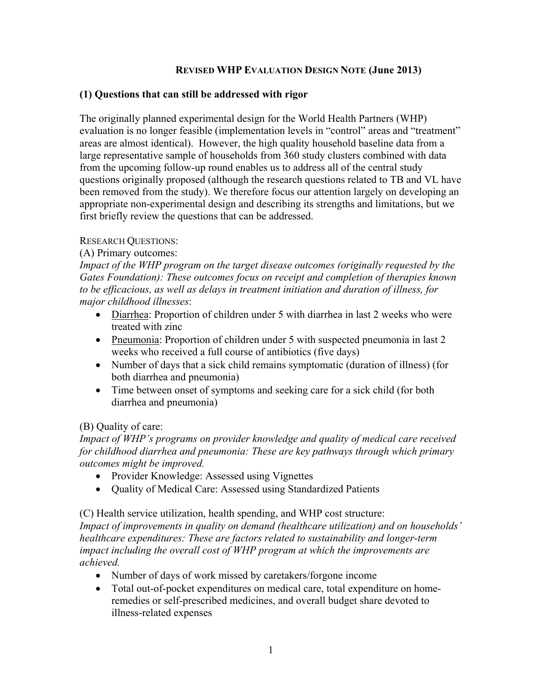#### **REVISED WHP EVALUATION DESIGN NOTE (June 2013)**

#### **(1) Questions that can still be addressed with rigor**

The originally planned experimental design for the World Health Partners (WHP) evaluation is no longer feasible (implementation levels in "control" areas and "treatment" areas are almost identical). However, the high quality household baseline data from a large representative sample of households from 360 study clusters combined with data from the upcoming follow-up round enables us to address all of the central study questions originally proposed (although the research questions related to TB and VL have been removed from the study). We therefore focus our attention largely on developing an appropriate non-experimental design and describing its strengths and limitations, but we first briefly review the questions that can be addressed.

#### RESEARCH QUESTIONS:

## (A) Primary outcomes:

*Impact of the WHP program on the target disease outcomes (originally requested by the Gates Foundation): These outcomes focus on receipt and completion of therapies known to be efficacious, as well as delays in treatment initiation and duration of illness, for major childhood illnesses*:

- Diarrhea: Proportion of children under 5 with diarrhea in last 2 weeks who were treated with zinc
- Pneumonia: Proportion of children under 5 with suspected pneumonia in last 2 weeks who received a full course of antibiotics (five days)
- Number of days that a sick child remains symptomatic (duration of illness) (for both diarrhea and pneumonia)
- Time between onset of symptoms and seeking care for a sick child (for both diarrhea and pneumonia)

## (B) Quality of care:

*Impact of WHP's programs on provider knowledge and quality of medical care received for childhood diarrhea and pneumonia: These are key pathways through which primary outcomes might be improved.*

- Provider Knowledge: Assessed using Vignettes
- Quality of Medical Care: Assessed using Standardized Patients

(C) Health service utilization, health spending, and WHP cost structure:

*Impact of improvements in quality on demand (healthcare utilization) and on households' healthcare expenditures: These are factors related to sustainability and longer-term impact including the overall cost of WHP program at which the improvements are achieved.*

- Number of days of work missed by caretakers/forgone income
- Total out-of-pocket expenditures on medical care, total expenditure on homeremedies or self-prescribed medicines, and overall budget share devoted to illness-related expenses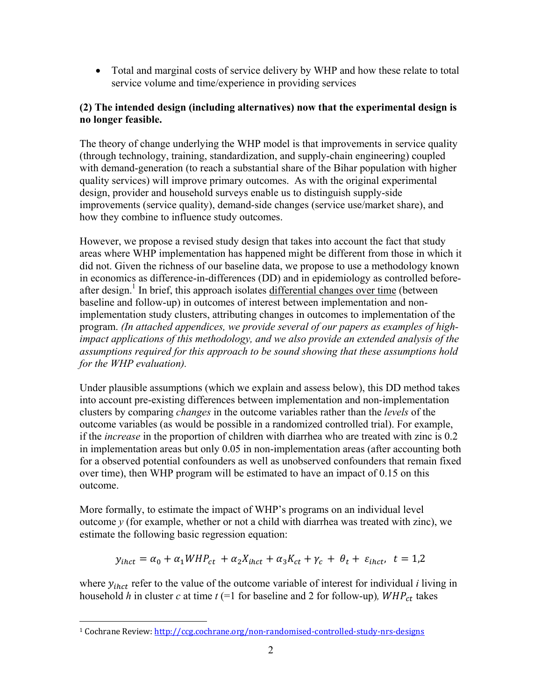• Total and marginal costs of service delivery by WHP and how these relate to total service volume and time/experience in providing services

# **(2) The intended design (including alternatives) now that the experimental design is no longer feasible.**

The theory of change underlying the WHP model is that improvements in service quality (through technology, training, standardization, and supply-chain engineering) coupled with demand-generation (to reach a substantial share of the Bihar population with higher quality services) will improve primary outcomes. As with the original experimental design, provider and household surveys enable us to distinguish supply-side improvements (service quality), demand-side changes (service use/market share), and how they combine to influence study outcomes.

However, we propose a revised study design that takes into account the fact that study areas where WHP implementation has happened might be different from those in which it did not. Given the richness of our baseline data, we propose to use a methodology known in economics as difference-in-differences (DD) and in epidemiology as controlled beforeafter design.<sup>1</sup> In brief, this approach isolates differential changes over time (between baseline and follow-up) in outcomes of interest between implementation and nonimplementation study clusters, attributing changes in outcomes to implementation of the program. *(In attached appendices, we provide several of our papers as examples of highimpact applications of this methodology, and we also provide an extended analysis of the assumptions required for this approach to be sound showing that these assumptions hold for the WHP evaluation).* 

Under plausible assumptions (which we explain and assess below), this DD method takes into account pre-existing differences between implementation and non-implementation clusters by comparing *changes* in the outcome variables rather than the *levels* of the outcome variables (as would be possible in a randomized controlled trial). For example, if the *increase* in the proportion of children with diarrhea who are treated with zinc is 0.2 in implementation areas but only 0.05 in non-implementation areas (after accounting both for a observed potential confounders as well as unobserved confounders that remain fixed over time), then WHP program will be estimated to have an impact of 0.15 on this outcome.

More formally, to estimate the impact of WHP's programs on an individual level outcome *y* (for example, whether or not a child with diarrhea was treated with zinc), we estimate the following basic regression equation:

$$
y_{thct} = \alpha_0 + \alpha_1 WHP_{ct} + \alpha_2 X_{thct} + \alpha_3 K_{ct} + \gamma_c + \theta_t + \varepsilon_{thct}, \ t = 1,2
$$

where  $y_{ihct}$  refer to the value of the outcome variable of interest for individual *i* living in household *h* in cluster *c* at time  $t$  (=1 for baseline and 2 for follow-up),  $WHP_{ct}$  takes

<sup>1</sup> Cochrane Review: http://ccg.cochrane.org/non-randomised-controlled-study-nrs-designs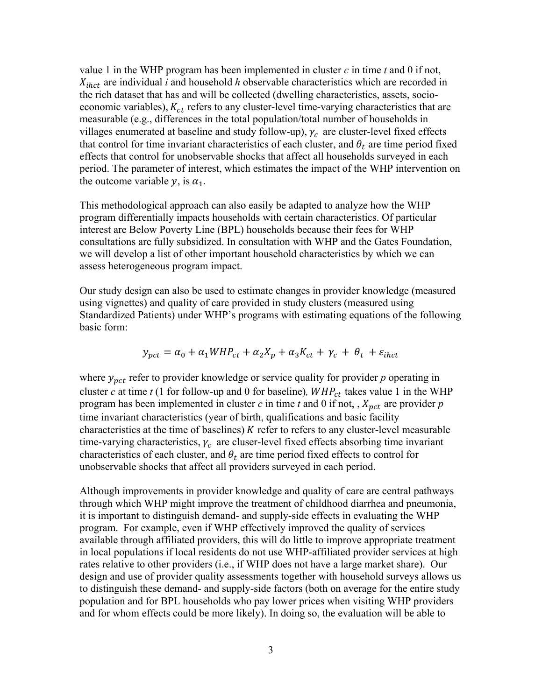value 1 in the WHP program has been implemented in cluster *c* in time *t* and 0 if not,  $X_{thct}$  are individual *i* and household *h* observable characteristics which are recorded in the rich dataset that has and will be collected (dwelling characteristics, assets, socioeconomic variables),  $K_{ct}$  refers to any cluster-level time-varying characteristics that are measurable (e.g., differences in the total population/total number of households in villages enumerated at baseline and study follow-up),  $\gamma_c$  are cluster-level fixed effects that control for time invariant characteristics of each cluster, and  $\theta_t$  are time period fixed effects that control for unobservable shocks that affect all households surveyed in each period. The parameter of interest, which estimates the impact of the WHP intervention on the outcome variable  $y$ , is  $\alpha_1$ .

This methodological approach can also easily be adapted to analyze how the WHP program differentially impacts households with certain characteristics. Of particular interest are Below Poverty Line (BPL) households because their fees for WHP consultations are fully subsidized. In consultation with WHP and the Gates Foundation, we will develop a list of other important household characteristics by which we can assess heterogeneous program impact.

Our study design can also be used to estimate changes in provider knowledge (measured using vignettes) and quality of care provided in study clusters (measured using Standardized Patients) under WHP's programs with estimating equations of the following basic form:

$$
y_{pct} = \alpha_0 + \alpha_1 WHP_{ct} + \alpha_2 X_p + \alpha_3 K_{ct} + \gamma_c + \theta_t + \varepsilon_{i hct}
$$

where  $y_{pct}$  refer to provider knowledge or service quality for provider  $p$  operating in cluster *c* at time *t* (1 for follow-up and 0 for baseline),  $WHP_{ct}$  takes value 1 in the WHP program has been implemented in cluster  $c$  in time  $t$  and  $0$  if not, ,  $X_{pct}$  are provider  $p$ time invariant characteristics (year of birth, qualifications and basic facility characteristics at the time of baselines)  $K$  refer to refers to any cluster-level measurable time-varying characteristics,  $\gamma_c$  are cluser-level fixed effects absorbing time invariant characteristics of each cluster, and  $\theta_t$  are time period fixed effects to control for unobservable shocks that affect all providers surveyed in each period.

Although improvements in provider knowledge and quality of care are central pathways through which WHP might improve the treatment of childhood diarrhea and pneumonia, it is important to distinguish demand- and supply-side effects in evaluating the WHP program. For example, even if WHP effectively improved the quality of services available through affiliated providers, this will do little to improve appropriate treatment in local populations if local residents do not use WHP-affiliated provider services at high rates relative to other providers (i.e., if WHP does not have a large market share). Our design and use of provider quality assessments together with household surveys allows us to distinguish these demand- and supply-side factors (both on average for the entire study population and for BPL households who pay lower prices when visiting WHP providers and for whom effects could be more likely). In doing so, the evaluation will be able to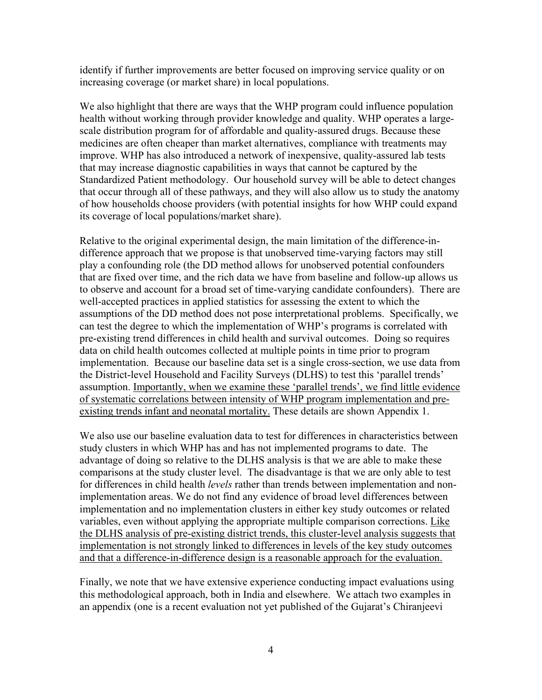identify if further improvements are better focused on improving service quality or on increasing coverage (or market share) in local populations.

We also highlight that there are ways that the WHP program could influence population health without working through provider knowledge and quality. WHP operates a largescale distribution program for of affordable and quality-assured drugs. Because these medicines are often cheaper than market alternatives, compliance with treatments may improve. WHP has also introduced a network of inexpensive, quality-assured lab tests that may increase diagnostic capabilities in ways that cannot be captured by the Standardized Patient methodology. Our household survey will be able to detect changes that occur through all of these pathways, and they will also allow us to study the anatomy of how households choose providers (with potential insights for how WHP could expand its coverage of local populations/market share).

Relative to the original experimental design, the main limitation of the difference-indifference approach that we propose is that unobserved time-varying factors may still play a confounding role (the DD method allows for unobserved potential confounders that are fixed over time, and the rich data we have from baseline and follow-up allows us to observe and account for a broad set of time-varying candidate confounders). There are well-accepted practices in applied statistics for assessing the extent to which the assumptions of the DD method does not pose interpretational problems. Specifically, we can test the degree to which the implementation of WHP's programs is correlated with pre-existing trend differences in child health and survival outcomes. Doing so requires data on child health outcomes collected at multiple points in time prior to program implementation. Because our baseline data set is a single cross-section, we use data from the District-level Household and Facility Surveys (DLHS) to test this 'parallel trends' assumption. Importantly, when we examine these 'parallel trends', we find little evidence of systematic correlations between intensity of WHP program implementation and preexisting trends infant and neonatal mortality. These details are shown Appendix 1.

We also use our baseline evaluation data to test for differences in characteristics between study clusters in which WHP has and has not implemented programs to date. The advantage of doing so relative to the DLHS analysis is that we are able to make these comparisons at the study cluster level. The disadvantage is that we are only able to test for differences in child health *levels* rather than trends between implementation and nonimplementation areas. We do not find any evidence of broad level differences between implementation and no implementation clusters in either key study outcomes or related variables, even without applying the appropriate multiple comparison corrections. Like the DLHS analysis of pre-existing district trends, this cluster-level analysis suggests that implementation is not strongly linked to differences in levels of the key study outcomes and that a difference-in-difference design is a reasonable approach for the evaluation.

Finally, we note that we have extensive experience conducting impact evaluations using this methodological approach, both in India and elsewhere. We attach two examples in an appendix (one is a recent evaluation not yet published of the Gujarat's Chiranjeevi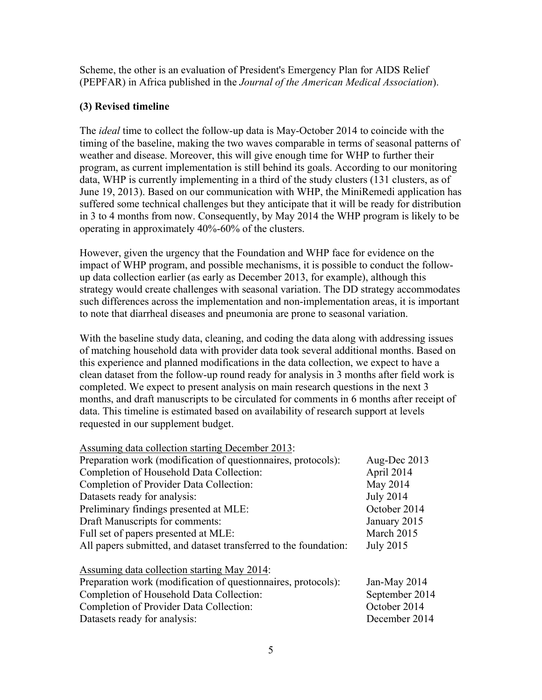Scheme, the other is an evaluation of President's Emergency Plan for AIDS Relief (PEPFAR) in Africa published in the *Journal of the American Medical Association*).

## **(3) Revised timeline**

The *ideal* time to collect the follow-up data is May-October 2014 to coincide with the timing of the baseline, making the two waves comparable in terms of seasonal patterns of weather and disease. Moreover, this will give enough time for WHP to further their program, as current implementation is still behind its goals. According to our monitoring data, WHP is currently implementing in a third of the study clusters (131 clusters, as of June 19, 2013). Based on our communication with WHP, the MiniRemedi application has suffered some technical challenges but they anticipate that it will be ready for distribution in 3 to 4 months from now. Consequently, by May 2014 the WHP program is likely to be operating in approximately 40%-60% of the clusters.

However, given the urgency that the Foundation and WHP face for evidence on the impact of WHP program, and possible mechanisms, it is possible to conduct the followup data collection earlier (as early as December 2013, for example), although this strategy would create challenges with seasonal variation. The DD strategy accommodates such differences across the implementation and non-implementation areas, it is important to note that diarrheal diseases and pneumonia are prone to seasonal variation.

With the baseline study data, cleaning, and coding the data along with addressing issues of matching household data with provider data took several additional months. Based on this experience and planned modifications in the data collection, we expect to have a clean dataset from the follow-up round ready for analysis in 3 months after field work is completed. We expect to present analysis on main research questions in the next 3 months, and draft manuscripts to be circulated for comments in 6 months after receipt of data. This timeline is estimated based on availability of research support at levels requested in our supplement budget.

| Assuming data collection starting December 2013:                 |                  |
|------------------------------------------------------------------|------------------|
| Preparation work (modification of questionnaires, protocols):    | Aug-Dec 2013     |
| Completion of Household Data Collection:                         | April 2014       |
| Completion of Provider Data Collection:                          | May 2014         |
| Datasets ready for analysis:                                     | <b>July 2014</b> |
| Preliminary findings presented at MLE:                           | October 2014     |
| Draft Manuscripts for comments:                                  | January 2015     |
| Full set of papers presented at MLE:                             | March 2015       |
| All papers submitted, and dataset transferred to the foundation: | <b>July 2015</b> |
| <b>Assuming data collection starting May 2014:</b>               |                  |
| Preparation work (modification of questionnaires, protocols):    | Jan-May 2014     |
| Completion of Household Data Collection:                         | September 2014   |
| Completion of Provider Data Collection:                          | October 2014     |
|                                                                  |                  |

Datasets ready for analysis: December 2014